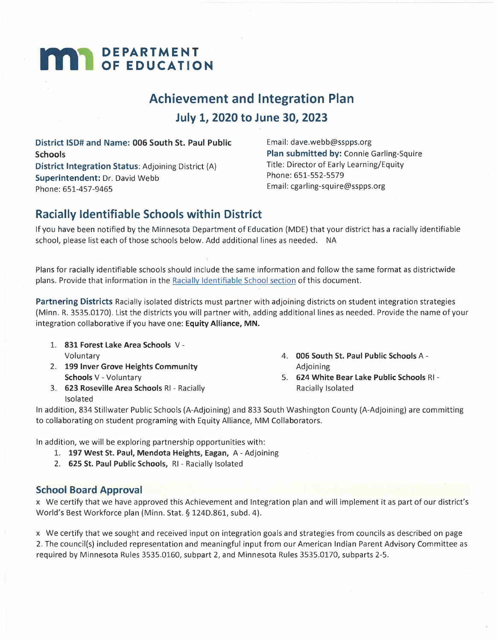# **M DEPARTMENT OF EDUCATION**

## **Achievement and Integration Plan July 1, 2020 to June 30, 2023**

**District ISD# and Name: 006 South St. Paul Public Schools District Integration Status:** Adjoining District (A) **Superintendent:** Dr. David Webb Phone: 651-457-9465

Email: dave.webb@sspps.org **Plan submitted by:** Connie Garling-Squire Title: Director of Early Learning/Equity Phone: 651-552-5579 Email: cgarling-squire@sspps.org

## **Racially Identifiable Schools within District**

If you have been notified by the Minnesota Department of Education (MDE) that your district has a racially identifiable school, please list each of those schools below. Add additional lines as needed. NA

Plans for racially identifiable schools should include the same information and follow the same format as districtwide plans. Provide that information in the Racially Identifiable School section of this document.

**Partnering Districts** Racially isolated districts must partner with adjoining districts on student integration strategies (Minn. R. 3535.0170). List the districts you will partner with, adding additional lines as needed. Provide the name of your integration collaborative if you have one: **Equity Alliance, MN.** 

- 1. **831 Forest Lake Area Schools** V-Voluntary
- 2. **199 Inver Grove Heights Community Schools** V- Voluntary
- 3. **623 Roseville Area Schools** RI- Racially Isolated
- 4. **006 South St. Paul Public Schools** A-Adjoining
- 5. **624 White Bear Lake Public Schools** RI-Racially Isolated

In addition, 834 Stillwater Public Schools (A-Adjoining) and 833 South Washington County (A-Adjoining) are committing to collaborating on student programing with Equity Alliance, MM Collaborators.

In addition, we will be exploring partnership opportunities with:

- 1. **197 West St. Paul, Mendota Heights, Eagan,** A- Adjoining
- 2. **625 St. Paul Public Schools,** RI- Racially Isolated

## **School Board Approval**

x We certify that we have approved this Achievement and Integration plan and will implement it as part of our district's World's Best Workforce plan (Minn. Stat. \$ 124D.861, subd. 4).

x We certify that we sought and received input on integration goals and strategies from councils as described on page 2. The council(s) included representation and meaningful input from our American Indian Parent Advisory Committee as required by Minnesota Rules 3535.0160, subpart 2, and Minnesota Rules 3535.0170, subparts 2-5.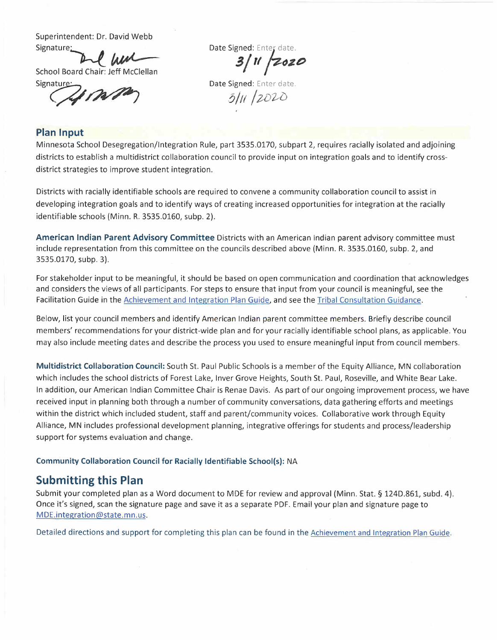Superintendent: Dr. David Webb

School Board Chair: Jeff McClellan

## 3 | 11 *|* 2020

Superintendent: Dr. David Webb<br>
Signature:<br>
School Board Chair: Jeff McClellan<br>
Signature:<br> **Bate Signed: Enter date.**<br>
Date Signed: Enter date.<br>
Date Signed: Enter date.<br>
Bate Signed: Enter date.<br>
Bate Signed: Enter date. **Date Signed: Enter date.<br>
3/11 2020**<br> **Date Signed: Enter date.** Date Signed: Enter date.<br> $\frac{3}{16}$  /2020

#### **Plan Input**

erintendent: Dr. David Webb<br>
ature:<br>
Dol Board Chair: Jeff McClellan<br>
ature:<br>
Dol Board Chair: Jeff McClellan<br>
Date Signed: Ente<br>
By Marketing Date Signed: Ente<br>
By Marketing Date Signed: Ente<br>
By Marketing Date Signed: En Minnesota School Desegregation/Integration Rule, part 3535.0170, subpart 2, requires racially isolated and adjoining districts to establish a multidistrict collaboration council to provide input on integration goals and to identify crossdistrict strategies to improve student integration.

Districts with racially identifiable schools are required to convene a community collaboration council to assist in developing integration goals and to identify ways of creating increased opportunities for integration at the racially identifiable schools (Minn. R. 3535.0160, subp. 2).

**American Indian Parent Advisory Committee** Districts with an American Indian parent advisory committee must include representation from this committee on the councils described above (Minn. R. 3535.0160, subp. 2, and 3535.0170, subp. 3).

For stakeholder input to be meaningful, it should be based on open communication and coordination that acknowledges and considers the views of all participants. For steps to ensure that input from your council is meaningful, see the Facilitation Guide in the Achievement and Integration Plan Guide, and see the Tribal Consultation Guidance.

Below, list your council members and identify American Indian parent committee members. Briefly describe council members' recommendations for your district-wide plan and for your racially identifiable school plans, as applicable. You may also include meeting dates and describe the process you used to ensure meaningful input from council members.

**Multidistrict Collaboration Council:** South St. Paul Public Schools is a member of the Equity Alliance, MN collaboration which includes the school districts of Forest Lake, Inver Grove Heights, South St. Paul, Roseville, and White Bear Lake. In addition, our American Indian Committee Chair is Renae Davis. As part of our ongoing improvement process, we have received input in planning both through a number of community conversations, data gathering efforts and meetings within the district which included student, staff and parent/community voices. Collaborative work through Equity Alliance, MN includes professional development planning, integrative offerings for students and process/leadership support for systems evaluation and change.

#### **Community Collaboration Council for Racially Identifiable School(s):** NA

## **Submitting this Plan**

Submit your completed plan as a Word document to MDE for review and approval (Minn. Stat.§ 124D.861, subd. 4). Once it's signed, scan the signature page and save it as a separate PDF. Email your plan and signature page to MDE.integration@state.mn.us.

Detailed directions and support for completing this plan can be found in the Achievement and Integration Plan Guide.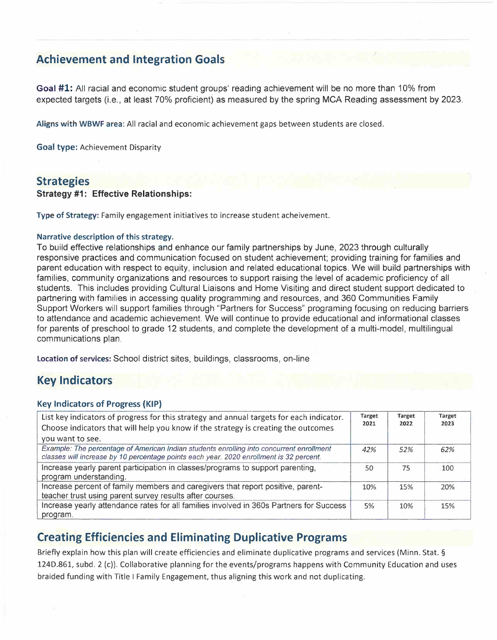## **Achievement and Integration Goals**

**Goal #1:** All racial and economic student groups' reading achievement will be no more than 10% from expected targets (i.e., at least 70% proficient) as measured by the spring MCA Reading assessment by 2023.

**Aligns with WBWF area:** All racial and economic achievement gaps between students are closed.

**Goal type:** Achievement Disparity

#### **Strategies**

#### **Strategy #1: Effective Relationships:**

**Type of Strategy:** Family engagement initiatives to increase student acheivement.

#### **Narrative description of this strategy.**

To build effective relationships and enhance our family partnerships by June, 2023 through culturally responsive practices and communication focused on student achievement; providing training for families and parent education with respect to equity, inclusion and related educational topics. We will build partnerships with families, community organizations and resources to support raising the level of academic proficiency of all students. This includes providing Cultural Liaisons and Home Visiting and direct student support dedicated to partnering with families in accessing quality programming and resources, and 360 Communities Family Support Workers will support families through "Partners for Success" programing focusing on reducing barriers to attendance and academic achievement. We will continue to provide educational and informational classes for parents of preschool to grade 12 students, and complete the development of a multi-model, multilingual communications plan.

**Location of services:** School district sites, buildings, classrooms, on-line

## **Key Indicators**

#### **Key Indicators of Progress (KIP)**

| List key indicators of progress for this strategy and annual targets for each indicator.<br>Choose indicators that will help you know if the strategy is creating the outcomes      | Target<br>2021 | <b>Target</b><br>2022 | <b>Target</b><br>2023 |
|-------------------------------------------------------------------------------------------------------------------------------------------------------------------------------------|----------------|-----------------------|-----------------------|
| you want to see.                                                                                                                                                                    |                |                       |                       |
| Example: The percentage of American Indian students enrolling into concurrent enrollment<br>classes will increase by 10 percentage points each year. 2020 enrollment is 32 percent. | 42%            | 52%                   | 62%                   |
| Increase yearly parent participation in classes/programs to support parenting,<br>program understanding.                                                                            | 50             | 75                    | 100                   |
| Increase percent of family members and caregivers that report positive, parent-                                                                                                     | 10%            | 15%                   | 20%                   |
| teacher trust using parent survey results after courses.                                                                                                                            |                |                       |                       |
| Increase yearly attendance rates for all families involved in 360s Partners for Success                                                                                             | 5%             | 10%                   | 15%                   |
| program.                                                                                                                                                                            |                |                       |                       |

## **Creating Efficiencies and Eliminating Duplicative Programs**

Briefly explain how this plan will create efficiencies and eliminate duplicative programs and services {Minn. Stat. § 124D.861, subd. 2 (c)). Collaborative planning for the events/programs happens with Community Education and uses braided funding with Title I Family Engagement, thus aligning this work and not duplicating.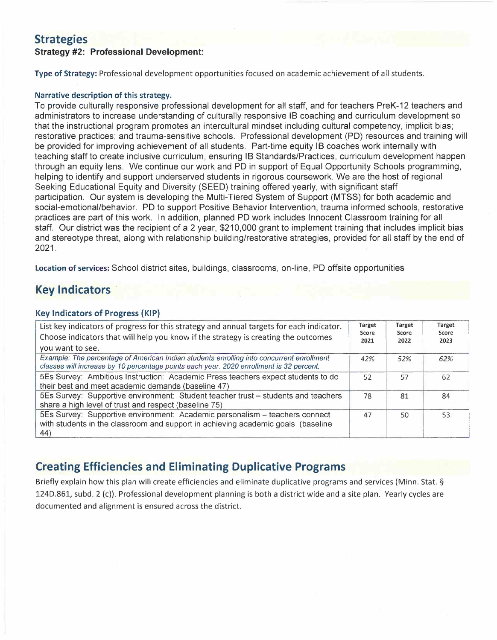## **Strategies**

#### **Strategy #2: Professional Development:**

**Type of Strategy:** Professional development opportunities focused on academic achievement of all students.

#### **Narrative description of this strategy.**

To provide culturally responsive professional development for all staff, and for teachers PreK-12 teachers and administrators to increase understanding of culturally responsive 18 coaching and curriculum development so that the instructional program promotes an intercultural mindset including cultural competency, implicit bias; restorative practices; and trauma-sensitive schools. Professional development (PD) resources and training will be provided for improving achievement of all students. Part-time equity 18 coaches work internally with teaching staff to create inclusive curriculum, ensuring 18 Standards/Practices, curriculum development happen through an equity lens. We continue our work and PD in support of Equal Opportunity Schools programming, helping to identify and support underserved students in rigorous coursework. We are the host of regional Seeking Educational Equity and Diversity (SEED) training offered yearly, with significant staff participation. Our system is developing the Multi-Tiered System of Support (MTSS) for both academic and social-emotional/behavior. PD to support Positive Behavior Intervention, trauma informed schools, restorative practices are part of this work. In addition, planned PD work includes Innocent Classroom training for all staff. Our district was the recipient of a 2 year, \$210,000 grant to implement training that includes implicit bias and stereotype threat, along with relationship building/restorative strategies, provided for all staff by the end of 2021.

**Location of services:** School district sites, buildings, classrooms, on-line, PD offsite opportunities

## **Key Indicators**

#### **Key Indicators of Progress (KIP)**

| List key indicators of progress for this strategy and annual targets for each indicator.<br>Choose indicators that will help you know if the strategy is creating the outcomes<br>you want to see. | Target<br>Score<br>2021 | <b>Target</b><br>Score<br>2022 | <b>Target</b><br>Score<br>2023 |
|----------------------------------------------------------------------------------------------------------------------------------------------------------------------------------------------------|-------------------------|--------------------------------|--------------------------------|
| Example: The percentage of American Indian students enrolling into concurrent enrollment<br>classes will increase by 10 percentage points each year. 2020 enrollment is 32 percent.                | 42%                     | 52%                            | 62%                            |
| 5Es Survey: Ambitious Instruction: Academic Press teachers expect students to do<br>their best and meet academic demands (baseline 47)                                                             | 52                      | 57                             | 62                             |
| 5Es Survey: Supportive environment: Student teacher trust - students and teachers<br>share a high level of trust and respect (baseline 75)                                                         | 78                      | 81                             | 84                             |
| 5Es Survey: Supportive environment: Academic personalism - teachers connect<br>with students in the classroom and support in achieving academic goals (baseline<br>44)                             | 47                      | 50                             | 53                             |

## **Creating Efficiencies and Eliminating Duplicative Programs**

Briefly explain how this plan will create efficiencies and eliminate duplicative programs and services (Minn. Stat. § 124D.861, subd. 2 (c)). Professional development planning is both a district wide and a site plan. Yearly cycles are documented and alignment is ensured across the district.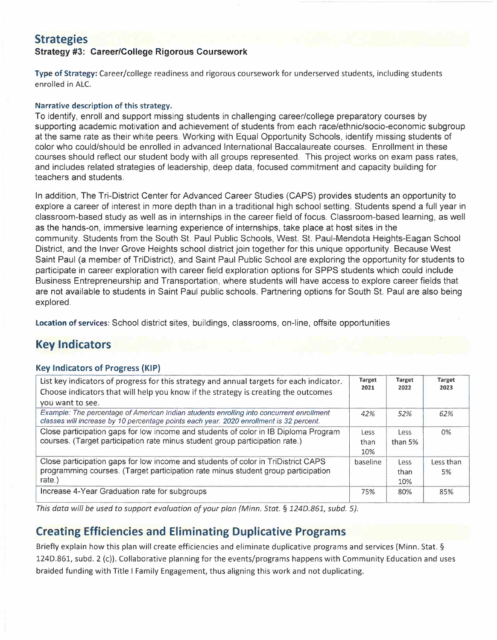## **Strategies**

#### **Strategy #3: Career/College Rigorous Coursework**

**Type of Strategy:** Career/college readiness and rigorous coursework for underserved students, including students enrolled in ALC.

#### **Narrative description of this strategy.**

To identify, enroll and support missing students in challenging career/college preparatory courses by supporting academic motivation and achievement of students from each race/ethnic/socio-economic subgroup at the same rate as their white peers. Working with Equal Opportunity Schools, identify missing students of color who could/should be enrolled in advanced International Baccalaureate courses. Enrollment in these courses should reflect our student body with all groups represented. This project works on exam pass rates, and includes related strategies of leadership, deep data, focused commitment and capacity building for teachers and students.

In addition, The Tri-District Center for Advanced Career Studies (CAPS) provides students an opportunity to explore a career of interest in more depth than in a traditional high school setting. Students spend a full year in classroom-based study as well as in internships in the career field of focus. Classroom-based learning, as well as the hands-on, immersive learning experience of internships, take place at host sites in the community. Students from the South St. Paul Public Schools, West. St. Paul-Mendota Heights-Eagan School District, and the Inver Grove Heights school district join together for this unique opportunity. Because West Saint Paul (a member of TriDistrict), and Saint Paul Public School are exploring the opportunity for students to participate in career exploration with career field exploration options for SPPS students which could include Business Entrepreneurship and Transportation, where students will have access to explore career fields that are not available to students in Saint Paul public schools. Partnering options for South St. Paul are also being explored.

**Location of services:** School district sites, buildings, classrooms, on-line, offsite opportunities

## **Key Indicators**

#### **Key Indicators of Progress (KIP)**

| List key indicators of progress for this strategy and annual targets for each indicator.<br>Choose indicators that will help you know if the strategy is creating the outcomes      | Target<br>2021      | <b>Target</b><br>2022 | Target<br>2023  |
|-------------------------------------------------------------------------------------------------------------------------------------------------------------------------------------|---------------------|-----------------------|-----------------|
| you want to see.                                                                                                                                                                    |                     |                       |                 |
| Example: The percentage of American Indian students enrolling into concurrent enrollment<br>classes will increase by 10 percentage points each year. 2020 enrollment is 32 percent. | 42%                 | 52%                   | 62%             |
| Close participation gaps for low income and students of color in IB Diploma Program<br>courses. (Target participation rate minus student group participation rate.)                 | Less<br>than<br>10% | Less<br>than $5%$     | 0%              |
| Close participation gaps for low income and students of color in TriDistrict CAPS<br>programming courses. (Target participation rate minus student group participation<br>rate.)    | baseline            | Less<br>than<br>10%   | Less than<br>5% |
| Increase 4-Year Graduation rate for subgroups                                                                                                                                       | 75%                 | 80%                   | 85%             |

*This data will be used to support evaluation of your plan {Minn. Stat.* § *1240.861, subd. 5).* 

## **Creating Efficiencies and Eliminating Duplicative Programs**

Briefly explain how this plan will create efficiencies and eliminate duplicative programs and services (Minn. Stat.§ 124D.861, subd. 2 (c)). Collaborative planning for the events/programs happens with Community Education and uses braided funding with Title I Family Engagement, thus aligning this work and not duplicating.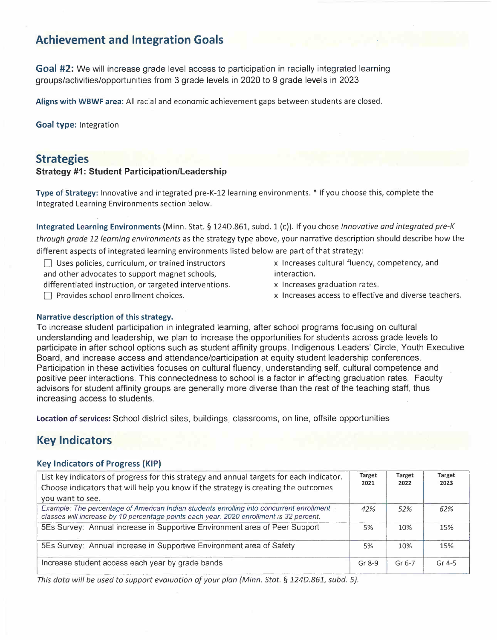## **Achievement and Integration Goals**

**Goal #2:** We will increase grade level access to participation in racially integrated learning groups/activities/opportunities from 3 grade levels in 2020 to 9 grade levels in 2023

**Aligns with WBWF area:** All racial and economic achievement gaps between students are closed.

**Goal type:** Integration

## **Strategies**

#### **Strategy #1: Student Participation/Leadership**

**Type of Strategy:** Innovative and integrated pre-K-12 learning environments.\* If you choose this, complete the Integrated Learning Environments section below.

**Integrated Learning Environments** (Minn. Stat. \$ 124D.861, subd. 1 (c)). If you chose *Innovative and integrated pre-K through grade 12 learning environments* as the strategy type above, your narrative description should describe how the different aspects of integrated learning environments listed below are part of that strategy:

- $\Box$  Uses policies, curriculum, or trained instructors and other advocates to support magnet schools,
- differentiated instruction, or targeted interventions.
- $\Box$  Provides school enrollment choices.
- x Increases cultural fluency, competency, and interaction.
- x Increases graduation rates.
- x Increases access to effective and diverse teachers.

#### **Narrative description of this strategy.**

To increase student participation in integrated learning, after school programs focusing on cultural understanding and leadership, we plan to increase the opportunities for students across grade levels to participate in after school options such as student affinity groups, Indigenous Leaders' Circle, Youth Executive Board, and increase access and attendance/participation at equity student leadership conferences. Participation in these activities focuses on cultural fluency, understanding self, cultural competence and positive peer interactions. This connectedness to school is a factor in affecting graduation rates. Faculty advisors for student affinity groups are generally more diverse than the rest of the teaching staff, thus increasing access to students.

**Location of services:** School district sites, buildings, classrooms, on line, offsite opportunities

## **Key Indicators**

#### **Key Indicators of Progress (KIP)**

| List key indicators of progress for this strategy and annual targets for each indicator.<br>Choose indicators that will help you know if the strategy is creating the outcomes<br>you want to see. | Target<br>2021 | <b>Target</b><br>2022 | Target<br>2023 |
|----------------------------------------------------------------------------------------------------------------------------------------------------------------------------------------------------|----------------|-----------------------|----------------|
| Example: The percentage of American Indian students enrolling into concurrent enrollment<br>classes will increase by 10 percentage points each year. 2020 enrollment is 32 percent.                | 42%            | 52%                   | 62%            |
| 5Es Survey: Annual increase in Supportive Environment area of Peer Support                                                                                                                         | 5%             | 10%                   | 15%            |
| 5Es Survey: Annual increase in Supportive Environment area of Safety                                                                                                                               | 5%             | 10%                   | 15%            |
| Increase student access each year by grade bands                                                                                                                                                   | $Gr 8-9$       | $Gr 6-7$              | $Gr 4-5$       |

*This data will be used to support evaluation of your plan (Minn. Stat.* § *1240.861, subd. 5).*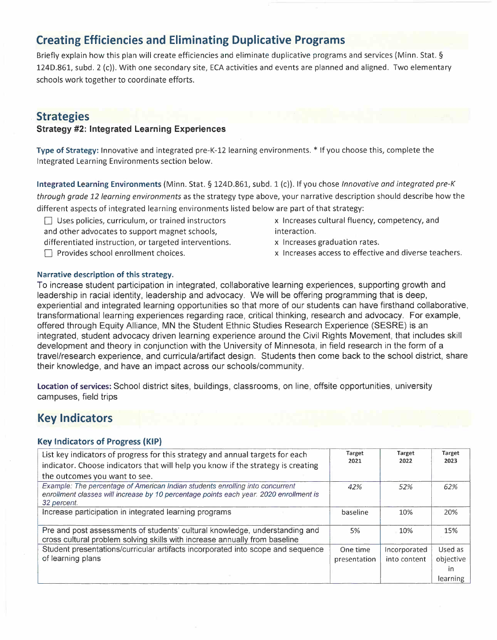## **Creating Efficiencies and Eliminating Duplicative Programs**

Briefly explain how this plan will create efficiencies and eliminate duplicative programs and services (Minn. Stat.§ 124D.861, subd. 2 (c)). With one secondary site, ECA activities and events are planned and aligned. Two elementary schools work together to coordinate efforts.

## **Strategies**

#### **Strategy #2: Integrated Learning Experiences**

**Type of Strategy:** Innovative and integrated pre-K-12 learning environments.\* If you choose this, complete the Integrated Learning Environments section below.

**Integrated Learning Environments** (Minn. Stat. § 124D.861, subd. 1 (c)). If you chose *Innovative and integrated pre-K through grade 12 learning environments* as the strategy type above, your narrative description should describe how the different aspects of integrated learning environments listed below are part of that strategy:

- Uses policies, curriculum, or trained instructors and other advocates to support magnet schools,
- differentiated instruction, or targeted interventions.
- **T** Provides school enrollment choices.
- x Increases cultural fluency, competency, and interaction.
- x Increases graduation rates.
- x Increases access to effective and diverse teachers.

#### **Narrative description of this strategy.**

To increase student participation in integrated, collaborative learning experiences, supporting growth and leadership in racial identity, leadership and advocacy. We will be offering programming that is deep, experiential and integrated learning opportunities so that more of our students can have firsthand collaborative, transformational learning experiences regarding race, critical thinking, research and advocacy. For example, offered through Equity Alliance, MN the Student Ethnic Studies Research Experience (SESRE) is an integrated, student advocacy driven learning experience around the Civil Rights Movement, that includes skill development and theory in conjunction with the University of Minnesota, in field research in the form of a travel/research experience, and curricula/artifact design. Students then come back to the school district, share their knowledge, and have an impact across our schools/community.

**Location of services:** School district sites, buildings, classrooms, on line, offsite opportunities, university campuses, field trips

## **Key Indicators**

#### **Key Indicators of Progress {KIP)**

| List key indicators of progress for this strategy and annual targets for each<br>indicator. Choose indicators that will help you know if the strategy is creating                      | <b>Target</b><br>2021 | Target<br>2022 | Target<br>2023 |
|----------------------------------------------------------------------------------------------------------------------------------------------------------------------------------------|-----------------------|----------------|----------------|
| the outcomes you want to see.                                                                                                                                                          |                       |                |                |
| Example: The percentage of American Indian students enrolling into concurrent<br>enrollment classes will increase by 10 percentage points each year. 2020 enrollment is<br>32 percent. | 42%                   | 52%            | 62%            |
| Increase participation in integrated learning programs                                                                                                                                 | baseline              | 10%            | 20%            |
| Pre and post assessments of students' cultural knowledge, understanding and<br>cross cultural problem solving skills with increase annually from baseline                              | 5%                    | 10%            | 15%            |
| Student presentations/curricular artifacts incorporated into scope and sequence                                                                                                        | One time              | Incorporated   | Used as        |
| of learning plans                                                                                                                                                                      | presentation          | into content   | objective      |
|                                                                                                                                                                                        |                       |                | $\mathsf{I}$   |
|                                                                                                                                                                                        |                       |                | learning       |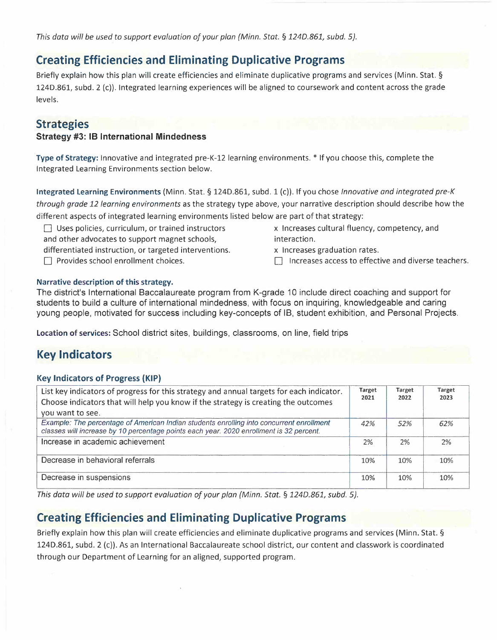*This data will be used to support evaluation of your plan (Minn. Stat.* § *1240.861, subd. 5).* 

## **Creating Efficiencies and Eliminating Duplicative Programs**

Briefly explain how this plan will create efficiencies and eliminate duplicative programs and services (Minn. Stat.§ 124D.861, subd. 2 (c)). Integrated learning experiences will be aligned to coursework and content across the grade levels.

## **Strategies**

#### **Strategy #3: 18 International Mindedness**

**Type of Strategy:** Innovative and integrated pre-K-12 learning environments.\* If you choose this, complete the Integrated Learning Environments section below.

**Integrated Learning Environments** (Minn. Stat. § 124D.861, subd. 1 (c)). If you chose *Innovative and integrated pre-K through grade 12 learning environments* as the strategy type above, your narrative description should describe how the different aspects of integrated learning environments listed below are part of that strategy:

 $\Box$  Uses policies, curriculum, or trained instructors and other advocates to support magnet schools,

differentiated instruction, or targeted interventions.

F Provides school enrollment choices.

x Increases cultural fluency, competency, and interaction.

x Increases graduation rates.

 $\Box$  Increases access to effective and diverse teachers.

#### **Narrative description of this strategy.**

The district's International Baccalaureate program from K-grade 10 include direct coaching and support for students to build a culture of international mindedness, with focus on inquiring, knowledgeable and caring young people, motivated for success including key-concepts of IB, student exhibition, and Personal Projects.

**Location of services:** School district sites, buildings, classrooms, on line, field trips

## **Key Indicators**

#### **Key Indicators of Progress (KIP)**

| List key indicators of progress for this strategy and annual targets for each indicator.<br>Choose indicators that will help you know if the strategy is creating the outcomes      | Target<br>2021 | Target<br>2022 | Target<br>2023 |
|-------------------------------------------------------------------------------------------------------------------------------------------------------------------------------------|----------------|----------------|----------------|
| you want to see.                                                                                                                                                                    |                |                |                |
| Example: The percentage of American Indian students enrolling into concurrent enrollment<br>classes will increase by 10 percentage points each year. 2020 enrollment is 32 percent. | 42%            | 52%            | 62%            |
| Increase in academic achievement                                                                                                                                                    | 2%             | 2%             | 2%             |
| Decrease in behavioral referrals                                                                                                                                                    | 10%            | 10%            | 10%            |
| Decrease in suspensions                                                                                                                                                             | 10%            | 10%            | 10%            |

*This data will be used to support evaluation of your plan (Minn. Stat.* § *1240.861, subd. 5).* 

## **Creating Efficiencies and Eliminating Duplicative Programs**

Briefly explain how this plan will create efficiencies and eliminate duplicative programs and services (Minn. Stat. § 124D.861, subd. 2 (c)). As an International Baccalaureate school district, our content and classwork is coordinated through our Department of Learning for an aligned, supported program.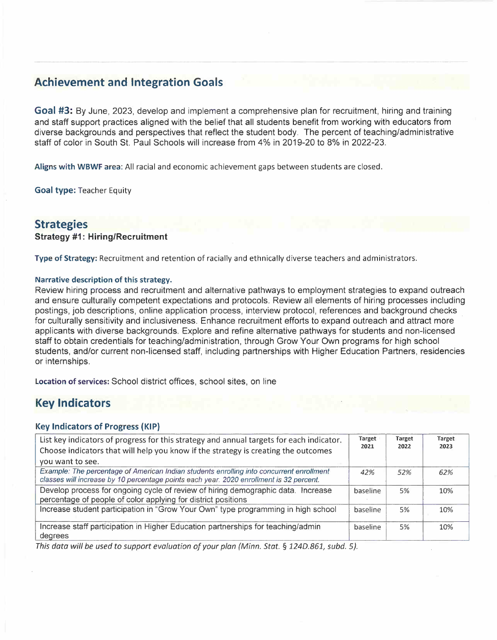## **Achievement and Integration Goals**

**Goal #3:** By June, 2023, develop and implement a comprehensive plan for recruitment, hiring and training and staff support practices aligned with the belief that all students benefit from working with educators from diverse backgrounds and perspectives that reflect the student body. The percent of teaching/administrative staff of color in South St. Paul Schools will increase from 4% in 2019-20 to 8% in 2022-23.

**Aligns with WBWF area:** All racial and economic achievement gaps between students are closed.

**Goal type:** Teacher Equity

## **Strategies**

#### **Strategy #1: Hiring/Recruitment**

**Type of Strategy:** Recruitment and retention of racially and ethnically diverse teachers and administrators.

#### **Narrative description of this strategy.**

Review hiring process and recruitment and alternative pathways to employment strategies to expand outreach and ensure culturally competent expectations and protocols. Review all elements of hiring processes including postings, job descriptions, online application process, interview protocol, references and background checks for culturally sensitivity and inclusiveness. Enhance recruitment efforts to expand outreach and attract more applicants with diverse backgrounds. Explore and refine alternative pathways for students and non-licensed staff to obtain credentials for teaching/administration, through Grow Your Own programs for high school students, and/or current non-licensed staff, including partnerships with Higher Education Partners, residencies or internships.

**Location of services:** School district offices, school sites, on line

## **Key Indicators**

#### **Key Indicators of Progress (KIP}**

| List key indicators of progress for this strategy and annual targets for each indicator.<br>Choose indicators that will help you know if the strategy is creating the outcomes<br>you want to see. | Target<br>2021 | Target<br>2022 | Target<br>2023 |
|----------------------------------------------------------------------------------------------------------------------------------------------------------------------------------------------------|----------------|----------------|----------------|
| Example: The percentage of American Indian students enrolling into concurrent enrollment<br>classes will increase by 10 percentage points each year. 2020 enrollment is 32 percent.                | 42%            | 52%            | 62%            |
| Develop process for ongoing cycle of review of hiring demographic data. Increase<br>percentage of people of color applying for district positions                                                  | baseline       | 5%             | 10%            |
| Increase student participation in "Grow Your Own" type programming in high school                                                                                                                  | baseline       | 5%             | 10%            |
| Increase staff participation in Higher Education partnerships for teaching/admin<br>degrees                                                                                                        | baseline       | 5%             | 10%            |

*This data will be used to support evaluation of your plan {Minn. Stat.* § *124D.861, subd. 5).*